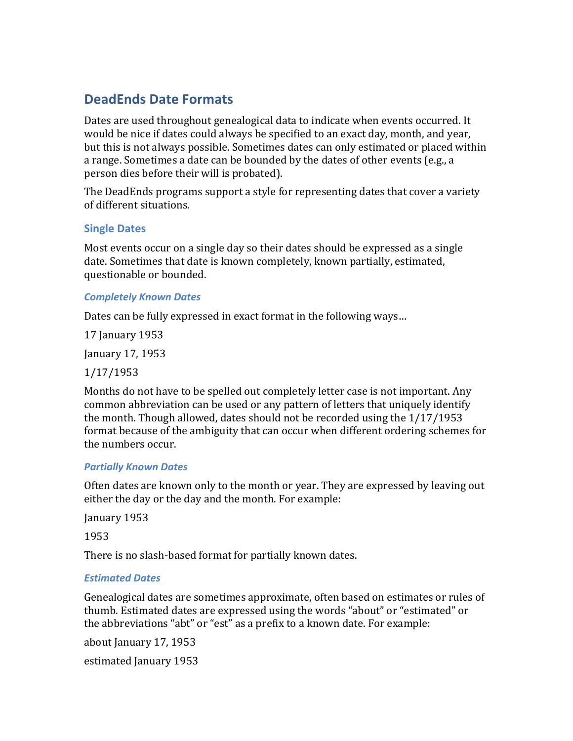# **DeadEnds(Date(Formats**

Dates are used throughout genealogical data to indicate when events occurred. It would be nice if dates could always be specified to an exact day, month, and year, but this is not always possible. Sometimes dates can only estimated or placed within a range. Sometimes a date can be bounded by the dates of other events (e.g., a person dies before their will is probated).

The DeadEnds programs support a style for representing dates that cover a variety of different situations.

# **Single Dates**

Most events occur on a single day so their dates should be expressed as a single date. Sometimes that date is known completely, known partially, estimated, questionable or bounded.

## *Completely Known)Dates*

Dates can be fully expressed in exact format in the following ways...

17 January 1953

January 17, 1953

# 1/17/1953

Months do not have to be spelled out completely letter case is not important. Any common abbreviation can be used or any pattern of letters that uniquely identify the month. Though allowed, dates should not be recorded using the  $1/17/1953$ format because of the ambiguity that can occur when different ordering schemes for the numbers occur.

#### **Partially Known Dates**

Often dates are known only to the month or year. They are expressed by leaving out either the day or the day and the month. For example:

January 1953

1953

There is no slash-based format for partially known dates.

# **Estimated Dates**

Genealogical dates are sometimes approximate, often based on estimates or rules of thumb. Estimated dates are expressed using the words "about" or "estimated" or the abbreviations "abt" or "est" as a prefix to a known date. For example:

about January 17, 1953

estimated January 1953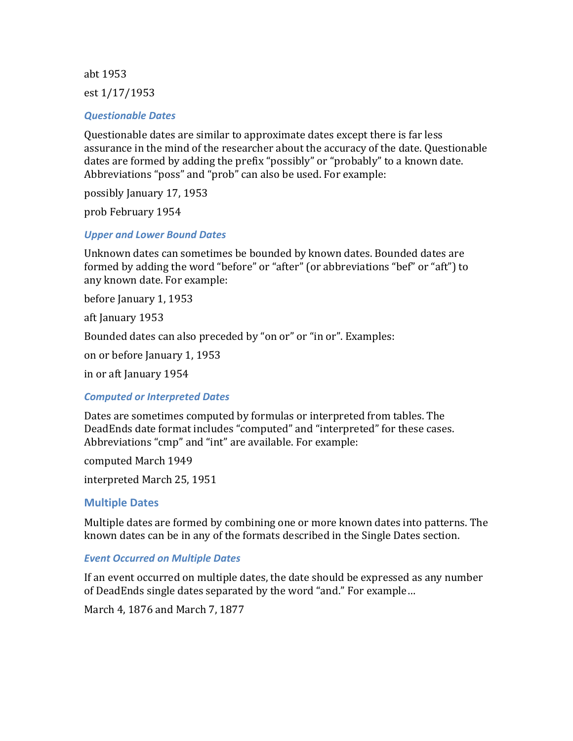abt 1953

est  $1/17/1953$ 

#### **Questionable Dates**

Questionable dates are similar to approximate dates except there is far less assurance in the mind of the researcher about the accuracy of the date. Questionable dates are formed by adding the prefix "possibly" or "probably" to a known date. Abbreviations "poss" and "prob" can also be used. For example:

possibly January 17, 1953

prob February 1954

## *Upper)and)Lower)Bound)Dates*

Unknown dates can sometimes be bounded by known dates. Bounded dates are formed by adding the word "before" or "after" (or abbreviations "bef" or "aft") to any known date. For example:

before January 1, 1953

aft January 1953

Bounded dates can also preceded by "on or" or "in or". Examples:

on or before January 1, 1953

in or aft January 1954

#### *Computed)or)Interpreted)Dates*

Dates are sometimes computed by formulas or interpreted from tables. The DeadEnds date format includes "computed" and "interpreted" for these cases. Abbreviations "cmp" and "int" are available. For example:

computed March 1949

interpreted March 25, 1951

#### **Multiple Dates**

Multiple dates are formed by combining one or more known dates into patterns. The known dates can be in any of the formats described in the Single Dates section.

#### *Event Occurred on Multiple Dates*

If an event occurred on multiple dates, the date should be expressed as any number of DeadEnds single dates separated by the word "and." For example...

March 4, 1876 and March 7, 1877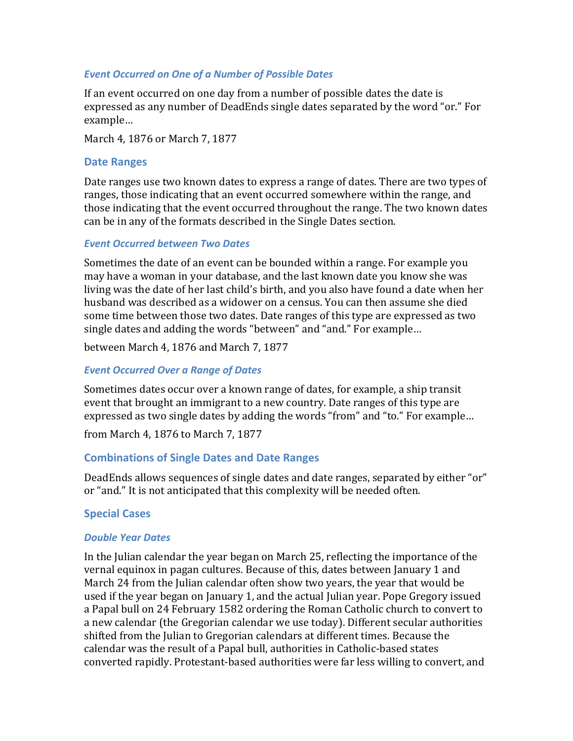#### *Event Occurred on One of a Number of Possible Dates*

If an event occurred on one day from a number of possible dates the date is expressed as any number of DeadEnds single dates separated by the word "or." For example…

March 4, 1876 or March 7, 1877

## **Date Ranges**

Date ranges use two known dates to express a range of dates. There are two types of ranges, those indicating that an event occurred somewhere within the range, and those indicating that the event occurred throughout the range. The two known dates can be in any of the formats described in the Single Dates section.

## *Event)Occurred)between)Two)Dates*

Sometimes the date of an event can be bounded within a range. For example you may have a woman in your database, and the last known date you know she was living was the date of her last child's birth, and you also have found a date when her husband was described as a widower on a census. You can then assume she died some time between those two dates. Date ranges of this type are expressed as two single dates and adding the words "between" and "and." For example...

between March 4, 1876 and March 7, 1877

# *Event Occurred Over a Range of Dates*

Sometimes dates occur over a known range of dates, for example, a ship transit event that brought an immigrant to a new country. Date ranges of this type are expressed as two single dates by adding the words "from" and "to." For example...

from March 4, 1876 to March 7, 1877

# **Combinations of Single Dates and Date Ranges**

DeadEnds allows sequences of single dates and date ranges, separated by either "or" or "and." It is not anticipated that this complexity will be needed often.

# **Special Cases**

#### *Double Year Dates*

In the Julian calendar the year began on March 25, reflecting the importance of the vernal equinox in pagan cultures. Because of this, dates between January 1 and March 24 from the Julian calendar often show two years, the year that would be used if the year began on January 1, and the actual Julian year. Pope Gregory issued a Papal bull on 24 February 1582 ordering the Roman Catholic church to convert to a new calendar (the Gregorian calendar we use today). Different secular authorities shifted from the Julian to Gregorian calendars at different times. Because the calendar was the result of a Papal bull, authorities in Catholic-based states converted rapidly. Protestant-based authorities were far less willing to convert, and